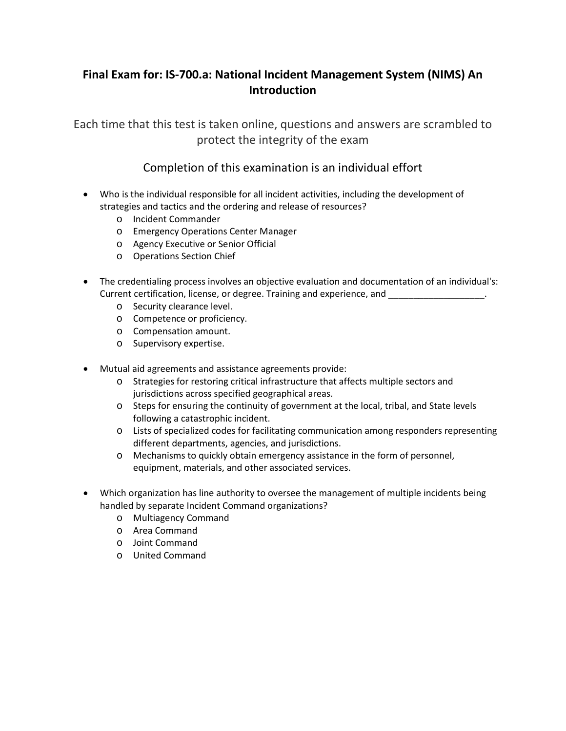## **Final Exam for: IS-700.a: National Incident Management System (NIMS) An Introduction**

Each time that this test is taken online, questions and answers are scrambled to protect the integrity of the exam

## Completion of this examination is an individual effort

- Who is the individual responsible for all incident activities, including the development of strategies and tactics and the ordering and release of resources?
	- o Incident Commander
	- o Emergency Operations Center Manager
	- o Agency Executive or Senior Official
	- o Operations Section Chief
- The credentialing process involves an objective evaluation and documentation of an individual's: Current certification, license, or degree. Training and experience, and  $\blacksquare$ 
	- o Security clearance level.
	- o Competence or proficiency.
	- o Compensation amount.
	- o Supervisory expertise.
- Mutual aid agreements and assistance agreements provide:
	- o Strategies for restoring critical infrastructure that affects multiple sectors and jurisdictions across specified geographical areas.
	- o Steps for ensuring the continuity of government at the local, tribal, and State levels following a catastrophic incident.
	- o Lists of specialized codes for facilitating communication among responders representing different departments, agencies, and jurisdictions.
	- o Mechanisms to quickly obtain emergency assistance in the form of personnel, equipment, materials, and other associated services.
- Which organization has line authority to oversee the management of multiple incidents being handled by separate Incident Command organizations?
	- o Multiagency Command
	- o Area Command
	- o Joint Command
	- o United Command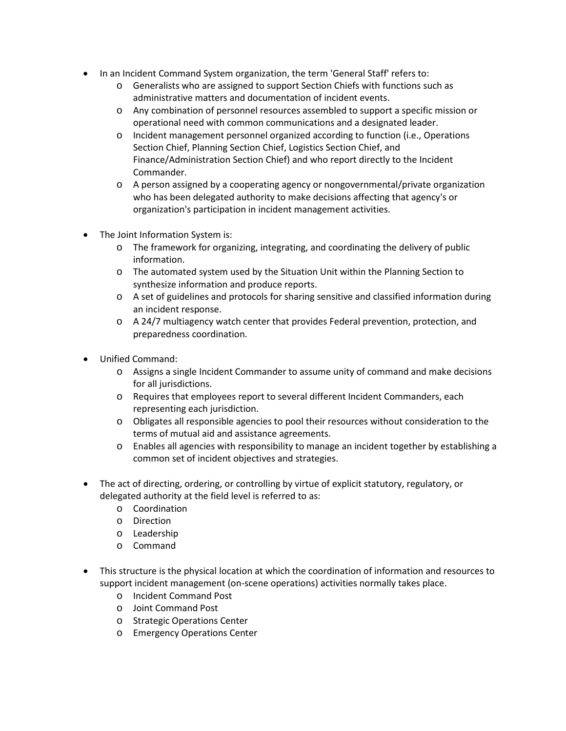- In an Incident Command System organization, the term 'General Staff' refers to:
	- o Generalists who are assigned to support Section Chiefs with functions such as administrative matters and documentation of incident events.
	- o Any combination of personnel resources assembled to support a specific mission or operational need with common communications and a designated leader.
	- o Incident management personnel organized according to function (i.e., Operations Section Chief, Planning Section Chief, Logistics Section Chief, and Finance/Administration Section Chief) and who report directly to the Incident Commander.
	- o A person assigned by a cooperating agency or nongovernmental/private organization who has been delegated authority to make decisions affecting that agency's or organization's participation in incident management activities.
- The Joint Information System is:
	- o The framework for organizing, integrating, and coordinating the delivery of public information.
	- o The automated system used by the Situation Unit within the Planning Section to synthesize information and produce reports.
	- o A set of guidelines and protocols for sharing sensitive and classified information during an incident response.
	- $\circ$  A 24/7 multiagency watch center that provides Federal prevention, protection, and preparedness coordination.
- Unified Command:
	- o Assigns a single Incident Commander to assume unity of command and make decisions for all jurisdictions.
	- o Requires that employees report to several different Incident Commanders, each representing each jurisdiction.
	- o Obligates all responsible agencies to pool their resources without consideration to the terms of mutual aid and assistance agreements.
	- o Enables all agencies with responsibility to manage an incident together by establishing a common set of incident objectives and strategies.
- The act of directing, ordering, or controlling by virtue of explicit statutory, regulatory, or delegated authority at the field level is referred to as:
	- o Coordination
	- o Direction
	- o Leadership
	- o Command
- This structure is the physical location at which the coordination of information and resources to support incident management (on-scene operations) activities normally takes place.
	- o Incident Command Post
	- o Joint Command Post
	- o Strategic Operations Center
	- o Emergency Operations Center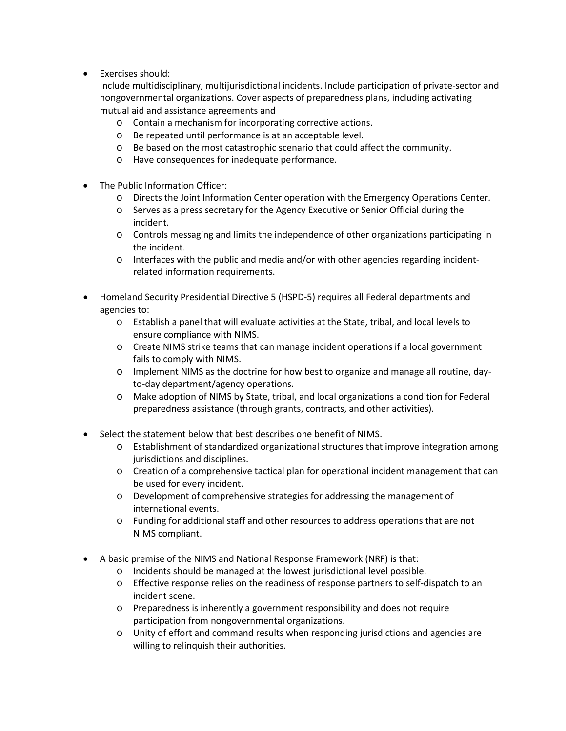• Exercises should:

Include multidisciplinary, multijurisdictional incidents. Include participation of private-sector and nongovernmental organizations. Cover aspects of preparedness plans, including activating mutual aid and assistance agreements and

- o Contain a mechanism for incorporating corrective actions.
- o Be repeated until performance is at an acceptable level.
- o Be based on the most catastrophic scenario that could affect the community.
- o Have consequences for inadequate performance.
- The Public Information Officer:
	- o Directs the Joint Information Center operation with the Emergency Operations Center.
	- o Serves as a press secretary for the Agency Executive or Senior Official during the incident.
	- o Controls messaging and limits the independence of other organizations participating in the incident.
	- o Interfaces with the public and media and/or with other agencies regarding incidentrelated information requirements.
- Homeland Security Presidential Directive 5 (HSPD-5) requires all Federal departments and agencies to:
	- o Establish a panel that will evaluate activities at the State, tribal, and local levels to ensure compliance with NIMS.
	- o Create NIMS strike teams that can manage incident operations if a local government fails to comply with NIMS.
	- o Implement NIMS as the doctrine for how best to organize and manage all routine, dayto-day department/agency operations.
	- o Make adoption of NIMS by State, tribal, and local organizations a condition for Federal preparedness assistance (through grants, contracts, and other activities).
- Select the statement below that best describes one benefit of NIMS.
	- o Establishment of standardized organizational structures that improve integration among jurisdictions and disciplines.
	- o Creation of a comprehensive tactical plan for operational incident management that can be used for every incident.
	- o Development of comprehensive strategies for addressing the management of international events.
	- o Funding for additional staff and other resources to address operations that are not NIMS compliant.
- A basic premise of the NIMS and National Response Framework (NRF) is that:
	- o Incidents should be managed at the lowest jurisdictional level possible.
		- o Effective response relies on the readiness of response partners to self-dispatch to an incident scene.
		- o Preparedness is inherently a government responsibility and does not require participation from nongovernmental organizations.
		- o Unity of effort and command results when responding jurisdictions and agencies are willing to relinquish their authorities.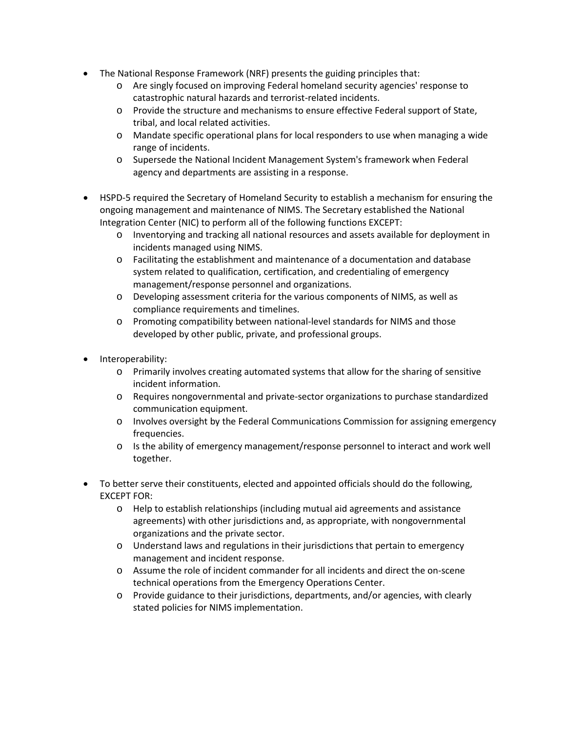- The National Response Framework (NRF) presents the guiding principles that:
	- o Are singly focused on improving Federal homeland security agencies' response to catastrophic natural hazards and terrorist-related incidents.
	- o Provide the structure and mechanisms to ensure effective Federal support of State, tribal, and local related activities.
	- o Mandate specific operational plans for local responders to use when managing a wide range of incidents.
	- o Supersede the National Incident Management System's framework when Federal agency and departments are assisting in a response.
- HSPD-5 required the Secretary of Homeland Security to establish a mechanism for ensuring the ongoing management and maintenance of NIMS. The Secretary established the National Integration Center (NIC) to perform all of the following functions EXCEPT:
	- o Inventorying and tracking all national resources and assets available for deployment in incidents managed using NIMS.
	- o Facilitating the establishment and maintenance of a documentation and database system related to qualification, certification, and credentialing of emergency management/response personnel and organizations.
	- o Developing assessment criteria for the various components of NIMS, as well as compliance requirements and timelines.
	- o Promoting compatibility between national-level standards for NIMS and those developed by other public, private, and professional groups.
- Interoperability:
	- o Primarily involves creating automated systems that allow for the sharing of sensitive incident information.
	- o Requires nongovernmental and private-sector organizations to purchase standardized communication equipment.
	- o Involves oversight by the Federal Communications Commission for assigning emergency frequencies.
	- o Is the ability of emergency management/response personnel to interact and work well together.
- To better serve their constituents, elected and appointed officials should do the following, EXCEPT FOR:
	- o Help to establish relationships (including mutual aid agreements and assistance agreements) with other jurisdictions and, as appropriate, with nongovernmental organizations and the private sector.
	- $\circ$  Understand laws and regulations in their jurisdictions that pertain to emergency management and incident response.
	- o Assume the role of incident commander for all incidents and direct the on-scene technical operations from the Emergency Operations Center.
	- o Provide guidance to their jurisdictions, departments, and/or agencies, with clearly stated policies for NIMS implementation.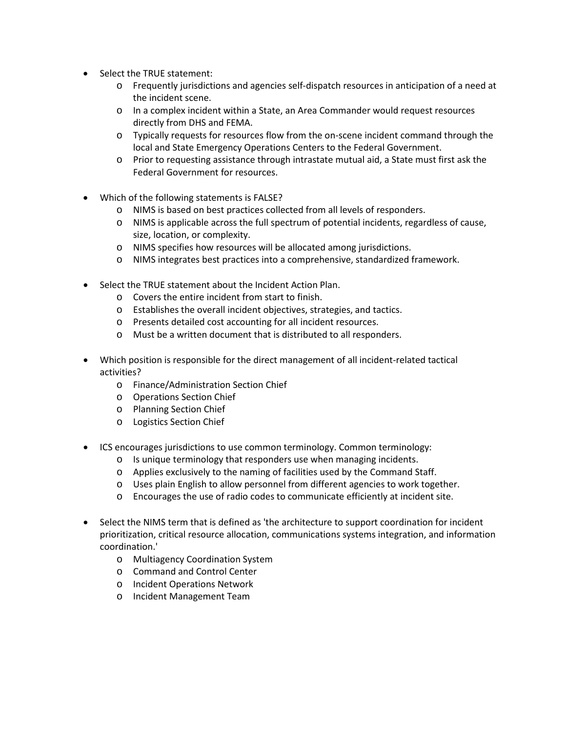- Select the TRUE statement:
	- o Frequently jurisdictions and agencies self-dispatch resources in anticipation of a need at the incident scene.
	- o In a complex incident within a State, an Area Commander would request resources directly from DHS and FEMA.
	- o Typically requests for resources flow from the on-scene incident command through the local and State Emergency Operations Centers to the Federal Government.
	- o Prior to requesting assistance through intrastate mutual aid, a State must first ask the Federal Government for resources.
- Which of the following statements is FALSE?
	- o NIMS is based on best practices collected from all levels of responders.
	- o NIMS is applicable across the full spectrum of potential incidents, regardless of cause, size, location, or complexity.
	- o NIMS specifies how resources will be allocated among jurisdictions.
	- o NIMS integrates best practices into a comprehensive, standardized framework.
- Select the TRUE statement about the Incident Action Plan.
	- o Covers the entire incident from start to finish.
	- o Establishes the overall incident objectives, strategies, and tactics.
	- o Presents detailed cost accounting for all incident resources.
	- o Must be a written document that is distributed to all responders.
- Which position is responsible for the direct management of all incident-related tactical activities?
	- o Finance/Administration Section Chief
	- o Operations Section Chief
	- o Planning Section Chief
	- o Logistics Section Chief
- ICS encourages jurisdictions to use common terminology. Common terminology:
	- o Is unique terminology that responders use when managing incidents.
	- o Applies exclusively to the naming of facilities used by the Command Staff.
	- o Uses plain English to allow personnel from different agencies to work together.
	- o Encourages the use of radio codes to communicate efficiently at incident site.
- Select the NIMS term that is defined as 'the architecture to support coordination for incident prioritization, critical resource allocation, communications systems integration, and information coordination.'
	- o Multiagency Coordination System
	- o Command and Control Center
	- o Incident Operations Network
	- o Incident Management Team